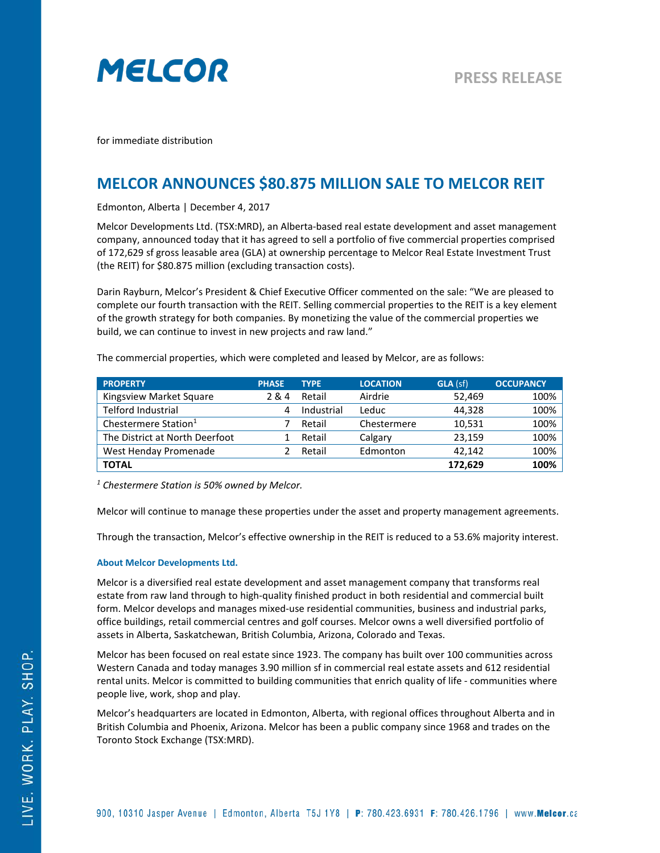

for immediate distribution

## **MELCOR ANNOUNCES \$80.875 MILLION SALE TO MELCOR REIT**

Edmonton, Alberta | December 4, 2017

Melcor Developments Ltd. (TSX:MRD), an Alberta-based real estate development and asset management company, announced today that it has agreed to sell a portfolio of five commercial properties comprised of 172,629 sf gross leasable area (GLA) at ownership percentage to Melcor Real Estate Investment Trust (the REIT) for \$80.875 million (excluding transaction costs).

Darin Rayburn, Melcor's President & Chief Executive Officer commented on the sale: "We are pleased to complete our fourth transaction with the REIT. Selling commercial properties to the REIT is a key element of the growth strategy for both companies. By monetizing the value of the commercial properties we build, we can continue to invest in new projects and raw land."

The commercial properties, which were completed and leased by Melcor, are as follows:

| <b>PROPERTY</b>                  | <b>PHASE</b> | <b>TYPE</b> | <b>LOCATION</b> | <b>GLA</b> (sf) | <b>OCCUPANCY</b> |
|----------------------------------|--------------|-------------|-----------------|-----------------|------------------|
| Kingsview Market Square          | 2&4          | Retail      | Airdrie         | 52,469          | 100%             |
| <b>Telford Industrial</b>        | 4            | Industrial  | Leduc           | 44.328          | 100%             |
| Chestermere Station <sup>1</sup> |              | Retail      | Chestermere     | 10,531          | 100%             |
| The District at North Deerfoot   |              | Retail      | Calgary         | 23.159          | 100%             |
| West Henday Promenade            |              | Retail      | Edmonton        | 42,142          | 100%             |
| <b>TOTAL</b>                     |              |             |                 | 172,629         | 100%             |

*<sup>1</sup> Chestermere Station is 50% owned by Melcor.*

Melcor will continue to manage these properties under the asset and property management agreements.

Through the transaction, Melcor's effective ownership in the REIT is reduced to a 53.6% majority interest.

## **About Melcor Developments Ltd.**

Melcor is a diversified real estate development and asset management company that transforms real estate from raw land through to high-quality finished product in both residential and commercial built form. Melcor develops and manages mixed-use residential communities, business and industrial parks, office buildings, retail commercial centres and golf courses. Melcor owns a well diversified portfolio of assets in Alberta, Saskatchewan, British Columbia, Arizona, Colorado and Texas.

Melcor has been focused on real estate since 1923. The company has built over 100 communities across Western Canada and today manages 3.90 million sf in commercial real estate assets and 612 residential rental units. Melcor is committed to building communities that enrich quality of life - communities where people live, work, shop and play.

Melcor's headquarters are located in Edmonton, Alberta, with regional offices throughout Alberta and in British Columbia and Phoenix, Arizona. Melcor has been a public company since 1968 and trades on the Toronto Stock Exchange (TSX:MRD).